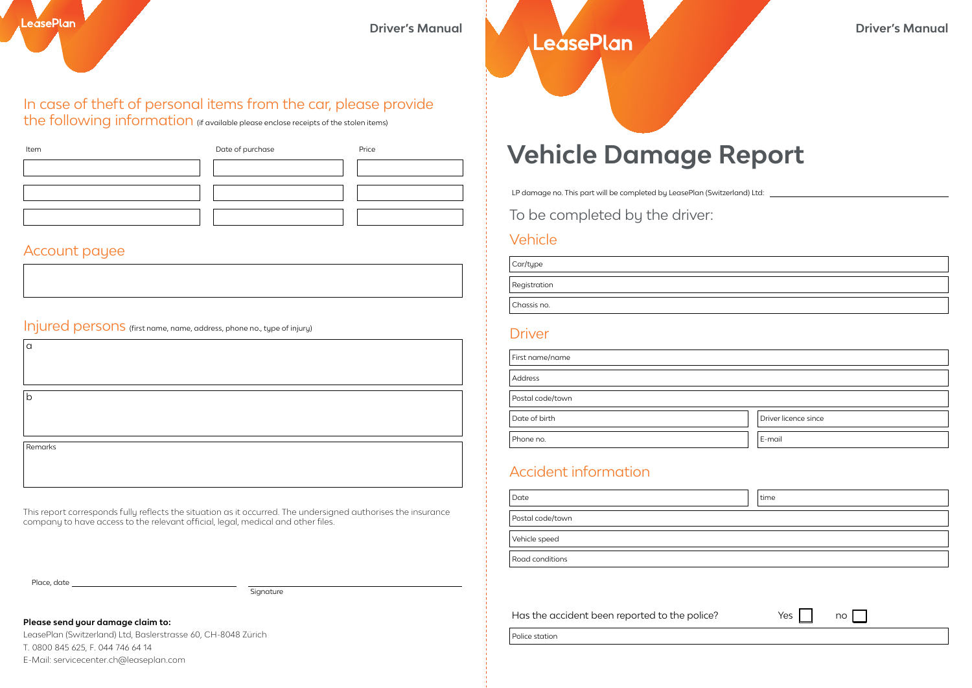# **Driver's Manual Driver's Manual** Driver's Manual

## In case of theft of personal items from the car, please provide

the following information (if available please enclose receipts of the stolen items)

| Item | Date of purchase | Price |
|------|------------------|-------|
|      |                  |       |
|      |                  |       |
|      |                  |       |

#### Account payee

Injured persons (first name, name, address, phone no., type of injury) Driver

lh.

a

Remarks

This report corresponds fully reflects the situation as it occurred. The undersigned authorises the insurance company to have access to the relevant official, legal, medical and other files.

Place, date

Signature

#### **Please send your damage claim to:**

LeasePlan (Switzerland) Ltd, Baslerstrasse 60, CH-8048 Zürich T. 0800 845 625, F. 044 746 64 14 E-Mail: servicecenter.ch@leaseplan.com

## **Vehicle Damage Report**

LP damage no. This part will be completed by LeasePlan (Switzerland) Ltd: \_

To be completed by the driver:

### Vehicle

Car/type

Registration

Chassis no.

| First name/name  |                      |
|------------------|----------------------|
| Address          |                      |
| Postal code/town |                      |
| Date of birth    | Driver licence since |
| Phone no.        | E-mail               |

### Accident information

| Date             | time |
|------------------|------|
| Postal code/town |      |
| Vehicle speed    |      |
| Road conditions  |      |

Has the accident been reported to the police?  $Yes \cap \emptyset$  no

Police station